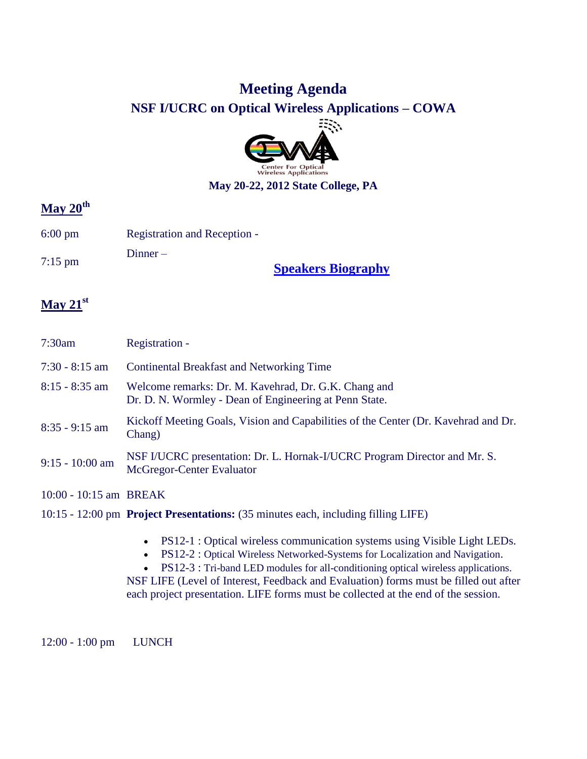## **Meeting Agenda**

**NSF I/UCRC on Optical Wireless Applications – COWA**



#### **May 20-22, 2012 State College, PA**

# **May 20th**

- 6:00 pm Registration and Reception -
- $7:15 \text{ pm}$  Dinner –

**[Speakers Biography](http://www.cowa.psu.edu/Documents/Meeting_Agendas/MAY-2012_BIOGRAPHIES_PACKAGE_PSU.pdf)**

### **May 21st**

| 7:30am                 | Registration -                                                                                                 |
|------------------------|----------------------------------------------------------------------------------------------------------------|
| $7:30 - 8:15$ am       | <b>Continental Breakfast and Networking Time</b>                                                               |
| $8:15 - 8:35$ am       | Welcome remarks: Dr. M. Kavehrad, Dr. G.K. Chang and<br>Dr. D. N. Wormley - Dean of Engineering at Penn State. |
| $8:35 - 9:15$ am       | Kickoff Meeting Goals, Vision and Capabilities of the Center (Dr. Kavehrad and Dr.<br>Chang)                   |
| $9:15 - 10:00$ am      | NSF I/UCRC presentation: Dr. L. Hornak-I/UCRC Program Director and Mr. S.<br>McGregor-Center Evaluator         |
| 10:00 - 10:15 am BREAK |                                                                                                                |
|                        | 10:15 - 12:00 pm Project Presentations: (35 minutes each, including filling LIFE)                              |

- PS12-1 : Optical wireless communication systems using Visible Light LEDs.
- PS12-2 : Optical Wireless Networked-Systems for Localization and Navigation.
- PS12-3 : Tri-band LED modules for all-conditioning optical wireless applications.

NSF LIFE (Level of Interest, Feedback and Evaluation) forms must be filled out after each project presentation. LIFE forms must be collected at the end of the session.

12:00 - 1:00 pm LUNCH